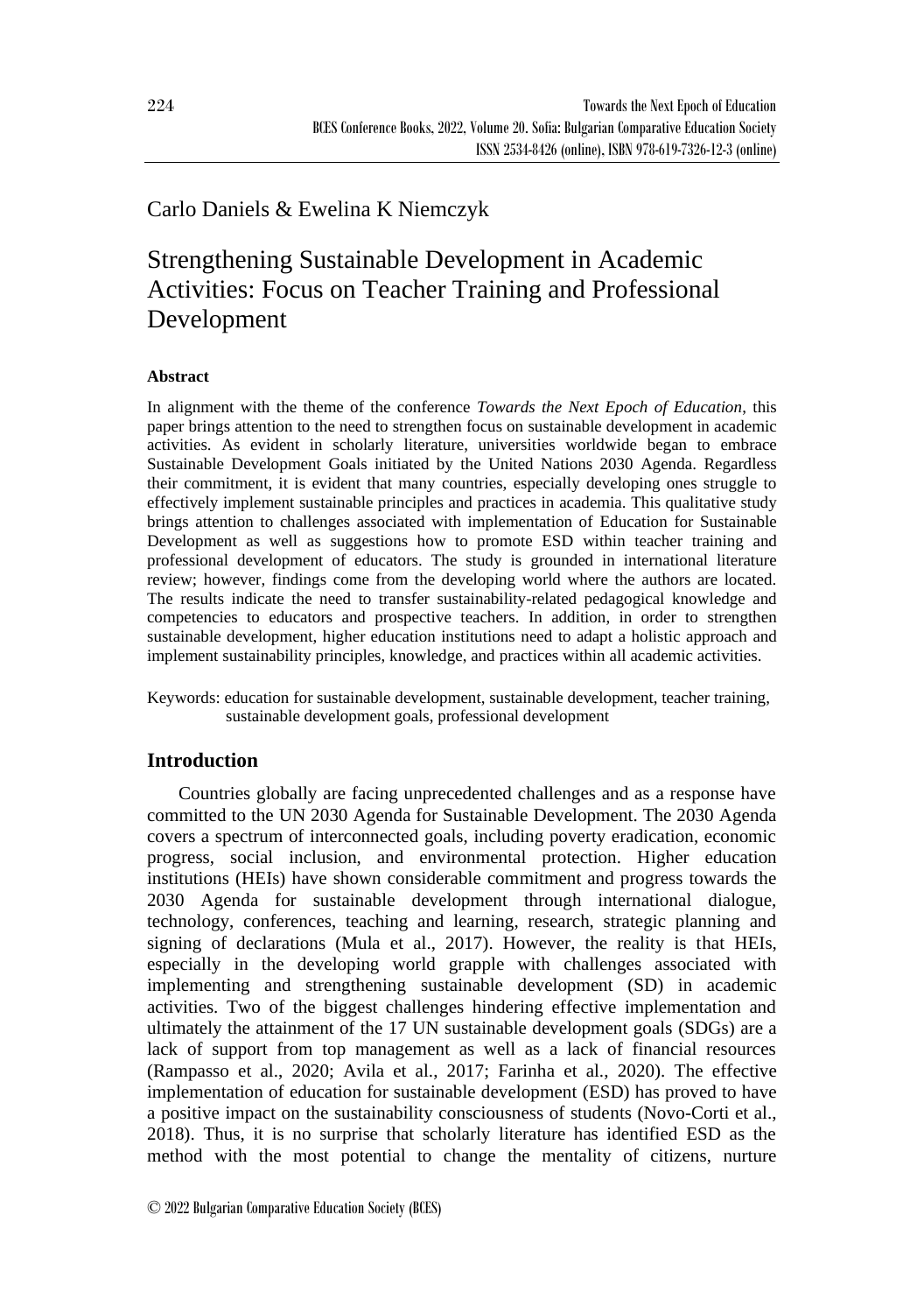# Carlo Daniels & Ewelina K Niemczyk

# Strengthening Sustainable Development in Academic Activities: Focus on Teacher Training and Professional Development

### **Abstract**

In alignment with the theme of the conference *Towards the Next Epoch of Education*, this paper brings attention to the need to strengthen focus on sustainable development in academic activities. As evident in scholarly literature, universities worldwide began to embrace Sustainable Development Goals initiated by the United Nations 2030 Agenda. Regardless their commitment, it is evident that many countries, especially developing ones struggle to effectively implement sustainable principles and practices in academia. This qualitative study brings attention to challenges associated with implementation of Education for Sustainable Development as well as suggestions how to promote ESD within teacher training and professional development of educators. The study is grounded in international literature review; however, findings come from the developing world where the authors are located. The results indicate the need to transfer sustainability-related pedagogical knowledge and competencies to educators and prospective teachers. In addition, in order to strengthen sustainable development, higher education institutions need to adapt a holistic approach and implement sustainability principles, knowledge, and practices within all academic activities.

Keywords: education for sustainable development, sustainable development, teacher training, sustainable development goals, professional development

## **Introduction**

Countries globally are facing unprecedented challenges and as a response have committed to the UN 2030 Agenda for Sustainable Development. The 2030 Agenda covers a spectrum of interconnected goals, including poverty eradication, economic progress, social inclusion, and environmental protection. Higher education institutions (HEIs) have shown considerable commitment and progress towards the 2030 Agenda for sustainable development through international dialogue, technology, conferences, teaching and learning, research, strategic planning and signing of declarations (Mula et al., 2017). However, the reality is that HEIs, especially in the developing world grapple with challenges associated with implementing and strengthening sustainable development (SD) in academic activities. Two of the biggest challenges hindering effective implementation and ultimately the attainment of the 17 UN sustainable development goals (SDGs) are a lack of support from top management as well as a lack of financial resources (Rampasso et al., 2020; Avila et al., 2017; Farinha et al., 2020). The effective implementation of education for sustainable development (ESD) has proved to have a positive impact on the sustainability consciousness of students (Novo-Corti et al., 2018). Thus, it is no surprise that scholarly literature has identified ESD as the method with the most potential to change the mentality of citizens, nurture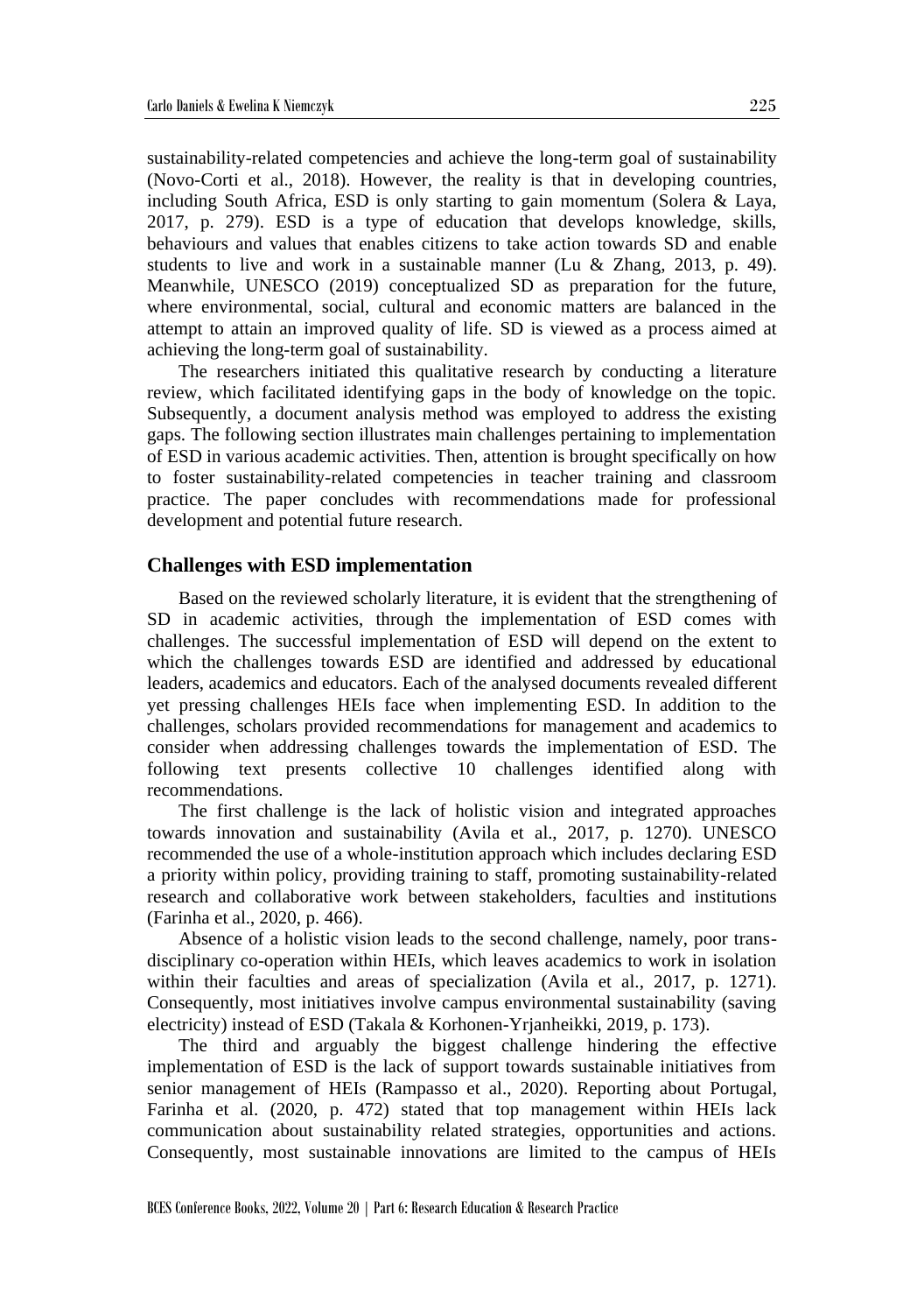sustainability-related competencies and achieve the long-term goal of sustainability (Novo-Corti et al., 2018). However, the reality is that in developing countries, including South Africa, ESD is only starting to gain momentum (Solera & Laya, 2017, p. 279). ESD is a type of education that develops knowledge, skills, behaviours and values that enables citizens to take action towards SD and enable students to live and work in a sustainable manner (Lu & Zhang, 2013, p. 49). Meanwhile, UNESCO (2019) conceptualized SD as preparation for the future, where environmental, social, cultural and economic matters are balanced in the attempt to attain an improved quality of life. SD is viewed as a process aimed at achieving the long-term goal of sustainability.

The researchers initiated this qualitative research by conducting a literature review, which facilitated identifying gaps in the body of knowledge on the topic. Subsequently, a document analysis method was employed to address the existing gaps. The following section illustrates main challenges pertaining to implementation of ESD in various academic activities. Then, attention is brought specifically on how to foster sustainability-related competencies in teacher training and classroom practice. The paper concludes with recommendations made for professional development and potential future research.

#### **Challenges with ESD implementation**

Based on the reviewed scholarly literature, it is evident that the strengthening of SD in academic activities, through the implementation of ESD comes with challenges. The successful implementation of ESD will depend on the extent to which the challenges towards ESD are identified and addressed by educational leaders, academics and educators. Each of the analysed documents revealed different yet pressing challenges HEIs face when implementing ESD. In addition to the challenges, scholars provided recommendations for management and academics to consider when addressing challenges towards the implementation of ESD. The following text presents collective 10 challenges identified along with recommendations.

The first challenge is the lack of holistic vision and integrated approaches towards innovation and sustainability (Avila et al., 2017, p. 1270). UNESCO recommended the use of a whole-institution approach which includes declaring ESD a priority within policy, providing training to staff, promoting sustainability-related research and collaborative work between stakeholders, faculties and institutions (Farinha et al., 2020, p. 466).

Absence of a holistic vision leads to the second challenge, namely, poor transdisciplinary co-operation within HEIs, which leaves academics to work in isolation within their faculties and areas of specialization (Avila et al., 2017, p. 1271). Consequently, most initiatives involve campus environmental sustainability (saving electricity) instead of ESD (Takala & Korhonen-Yrjanheikki, 2019, p. 173).

The third and arguably the biggest challenge hindering the effective implementation of ESD is the lack of support towards sustainable initiatives from senior management of HEIs (Rampasso et al., 2020). Reporting about Portugal, Farinha et al. (2020, p. 472) stated that top management within HEIs lack communication about sustainability related strategies, opportunities and actions. Consequently, most sustainable innovations are limited to the campus of HEIs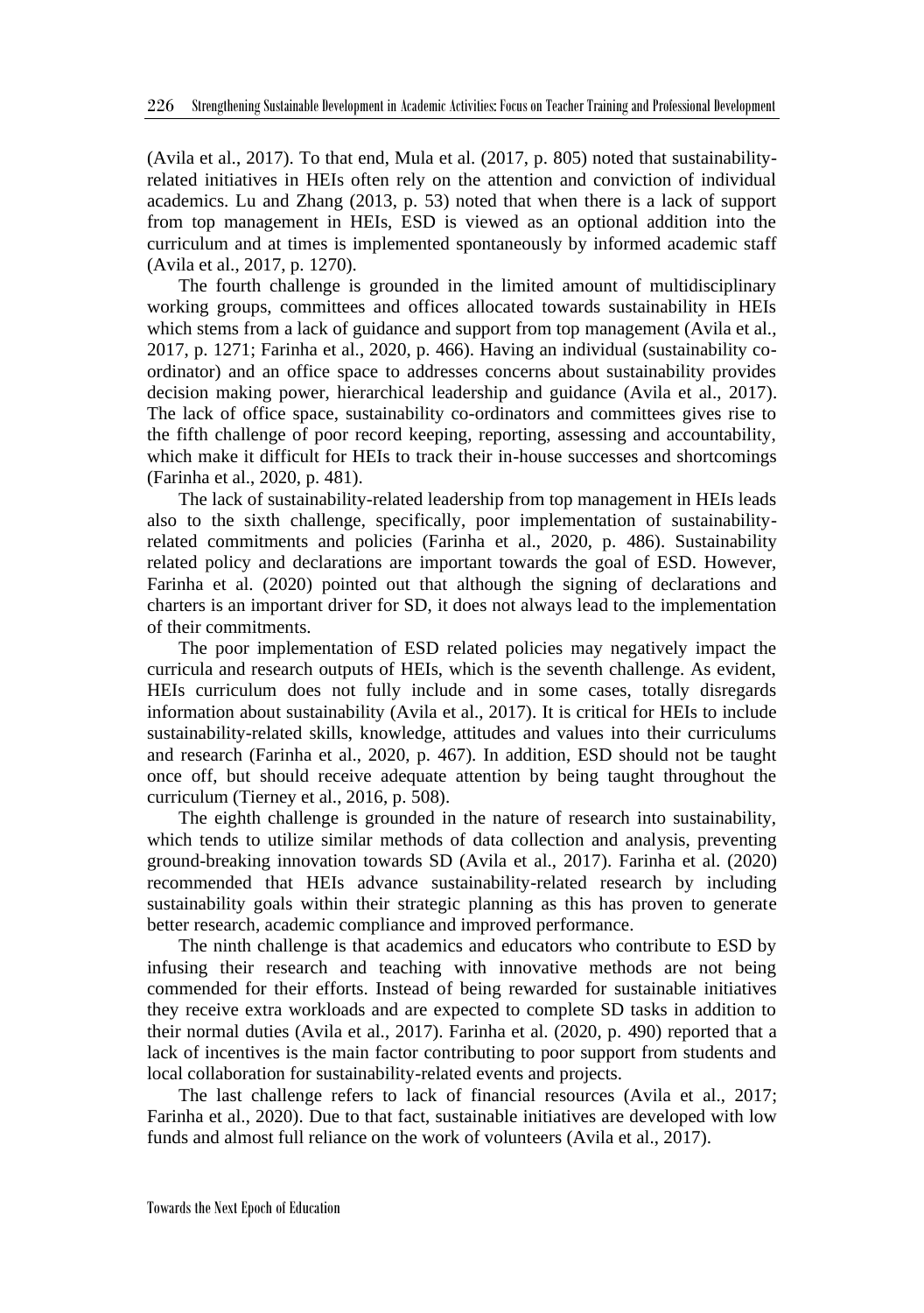(Avila et al., 2017). To that end, Mula et al. (2017, p. 805) noted that sustainabilityrelated initiatives in HEIs often rely on the attention and conviction of individual academics. Lu and Zhang (2013, p. 53) noted that when there is a lack of support from top management in HEIs, ESD is viewed as an optional addition into the curriculum and at times is implemented spontaneously by informed academic staff (Avila et al., 2017, p. 1270).

The fourth challenge is grounded in the limited amount of multidisciplinary working groups, committees and offices allocated towards sustainability in HEIs which stems from a lack of guidance and support from top management (Avila et al., 2017, p. 1271; Farinha et al., 2020, p. 466). Having an individual (sustainability coordinator) and an office space to addresses concerns about sustainability provides decision making power, hierarchical leadership and guidance (Avila et al., 2017). The lack of office space, sustainability co-ordinators and committees gives rise to the fifth challenge of poor record keeping, reporting, assessing and accountability, which make it difficult for HEIs to track their in-house successes and shortcomings (Farinha et al., 2020, p. 481).

The lack of sustainability-related leadership from top management in HEIs leads also to the sixth challenge, specifically, poor implementation of sustainabilityrelated commitments and policies (Farinha et al., 2020, p. 486). Sustainability related policy and declarations are important towards the goal of ESD. However, Farinha et al. (2020) pointed out that although the signing of declarations and charters is an important driver for SD, it does not always lead to the implementation of their commitments.

The poor implementation of ESD related policies may negatively impact the curricula and research outputs of HEIs, which is the seventh challenge. As evident, HEIs curriculum does not fully include and in some cases, totally disregards information about sustainability (Avila et al., 2017). It is critical for HEIs to include sustainability-related skills, knowledge, attitudes and values into their curriculums and research (Farinha et al., 2020, p. 467). In addition, ESD should not be taught once off, but should receive adequate attention by being taught throughout the curriculum (Tierney et al., 2016, p. 508).

The eighth challenge is grounded in the nature of research into sustainability, which tends to utilize similar methods of data collection and analysis, preventing ground-breaking innovation towards SD (Avila et al., 2017). Farinha et al. (2020) recommended that HEIs advance sustainability-related research by including sustainability goals within their strategic planning as this has proven to generate better research, academic compliance and improved performance.

The ninth challenge is that academics and educators who contribute to ESD by infusing their research and teaching with innovative methods are not being commended for their efforts. Instead of being rewarded for sustainable initiatives they receive extra workloads and are expected to complete SD tasks in addition to their normal duties (Avila et al., 2017). Farinha et al. (2020, p. 490) reported that a lack of incentives is the main factor contributing to poor support from students and local collaboration for sustainability-related events and projects.

The last challenge refers to lack of financial resources (Avila et al., 2017; Farinha et al., 2020). Due to that fact, sustainable initiatives are developed with low funds and almost full reliance on the work of volunteers (Avila et al., 2017).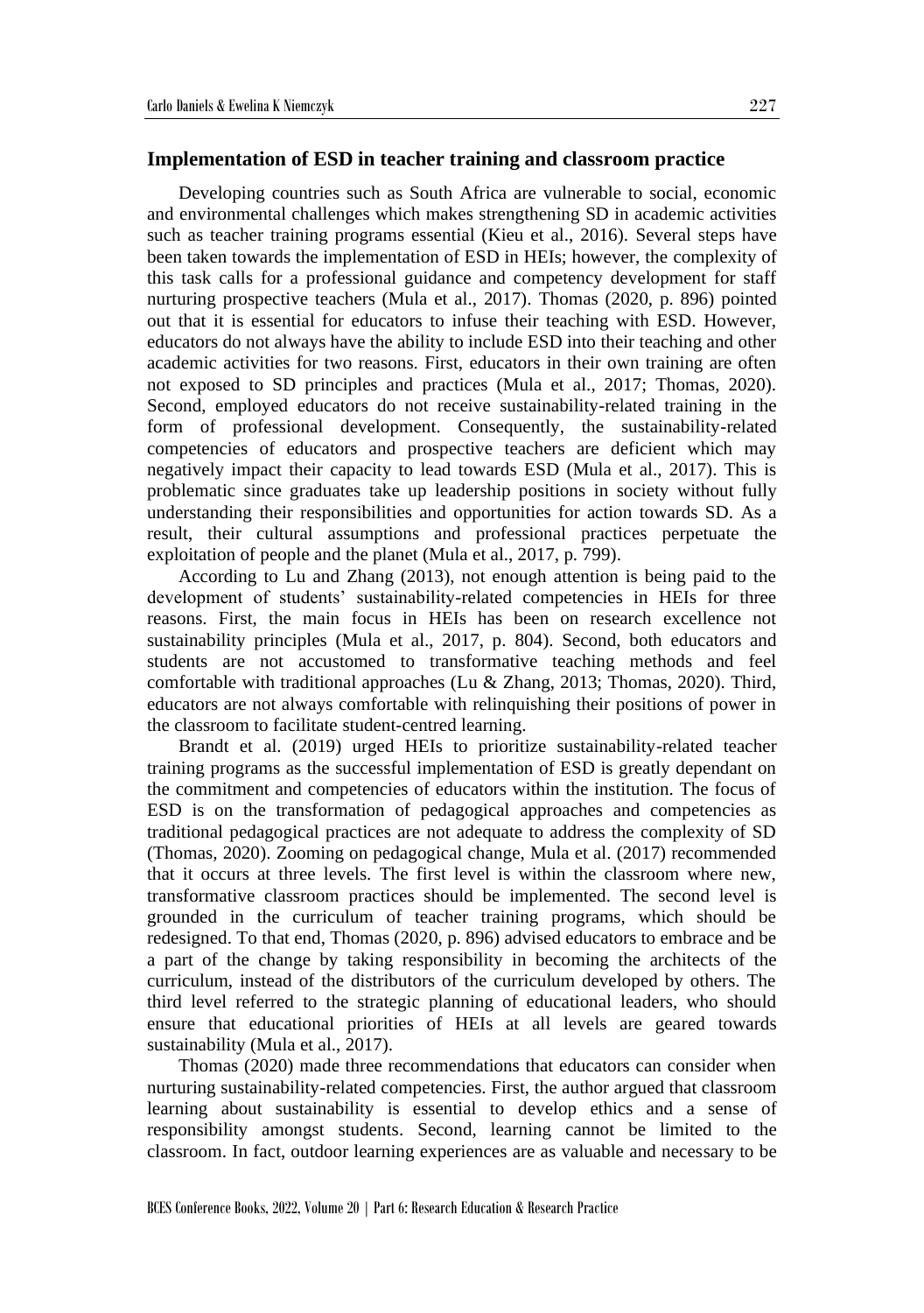#### **Implementation of ESD in teacher training and classroom practice**

Developing countries such as South Africa are vulnerable to social, economic and environmental challenges which makes strengthening SD in academic activities such as teacher training programs essential (Kieu et al., 2016). Several steps have been taken towards the implementation of ESD in HEIs; however, the complexity of this task calls for a professional guidance and competency development for staff nurturing prospective teachers (Mula et al., 2017). Thomas (2020, p. 896) pointed out that it is essential for educators to infuse their teaching with ESD. However, educators do not always have the ability to include ESD into their teaching and other academic activities for two reasons. First, educators in their own training are often not exposed to SD principles and practices (Mula et al., 2017; Thomas, 2020). Second, employed educators do not receive sustainability-related training in the form of professional development. Consequently, the sustainability-related competencies of educators and prospective teachers are deficient which may negatively impact their capacity to lead towards ESD (Mula et al., 2017). This is problematic since graduates take up leadership positions in society without fully understanding their responsibilities and opportunities for action towards SD. As a result, their cultural assumptions and professional practices perpetuate the exploitation of people and the planet (Mula et al., 2017, p. 799).

According to Lu and Zhang (2013), not enough attention is being paid to the development of students' sustainability-related competencies in HEIs for three reasons. First, the main focus in HEIs has been on research excellence not sustainability principles (Mula et al., 2017, p. 804). Second, both educators and students are not accustomed to transformative teaching methods and feel comfortable with traditional approaches (Lu & Zhang, 2013; Thomas, 2020). Third, educators are not always comfortable with relinquishing their positions of power in the classroom to facilitate student-centred learning.

Brandt et al. (2019) urged HEIs to prioritize sustainability-related teacher training programs as the successful implementation of ESD is greatly dependant on the commitment and competencies of educators within the institution. The focus of ESD is on the transformation of pedagogical approaches and competencies as traditional pedagogical practices are not adequate to address the complexity of SD (Thomas, 2020). Zooming on pedagogical change, Mula et al. (2017) recommended that it occurs at three levels. The first level is within the classroom where new, transformative classroom practices should be implemented. The second level is grounded in the curriculum of teacher training programs, which should be redesigned. To that end, Thomas (2020, p. 896) advised educators to embrace and be a part of the change by taking responsibility in becoming the architects of the curriculum, instead of the distributors of the curriculum developed by others. The third level referred to the strategic planning of educational leaders, who should ensure that educational priorities of HEIs at all levels are geared towards sustainability (Mula et al., 2017).

Thomas (2020) made three recommendations that educators can consider when nurturing sustainability-related competencies. First, the author argued that classroom learning about sustainability is essential to develop ethics and a sense of responsibility amongst students. Second, learning cannot be limited to the classroom. In fact, outdoor learning experiences are as valuable and necessary to be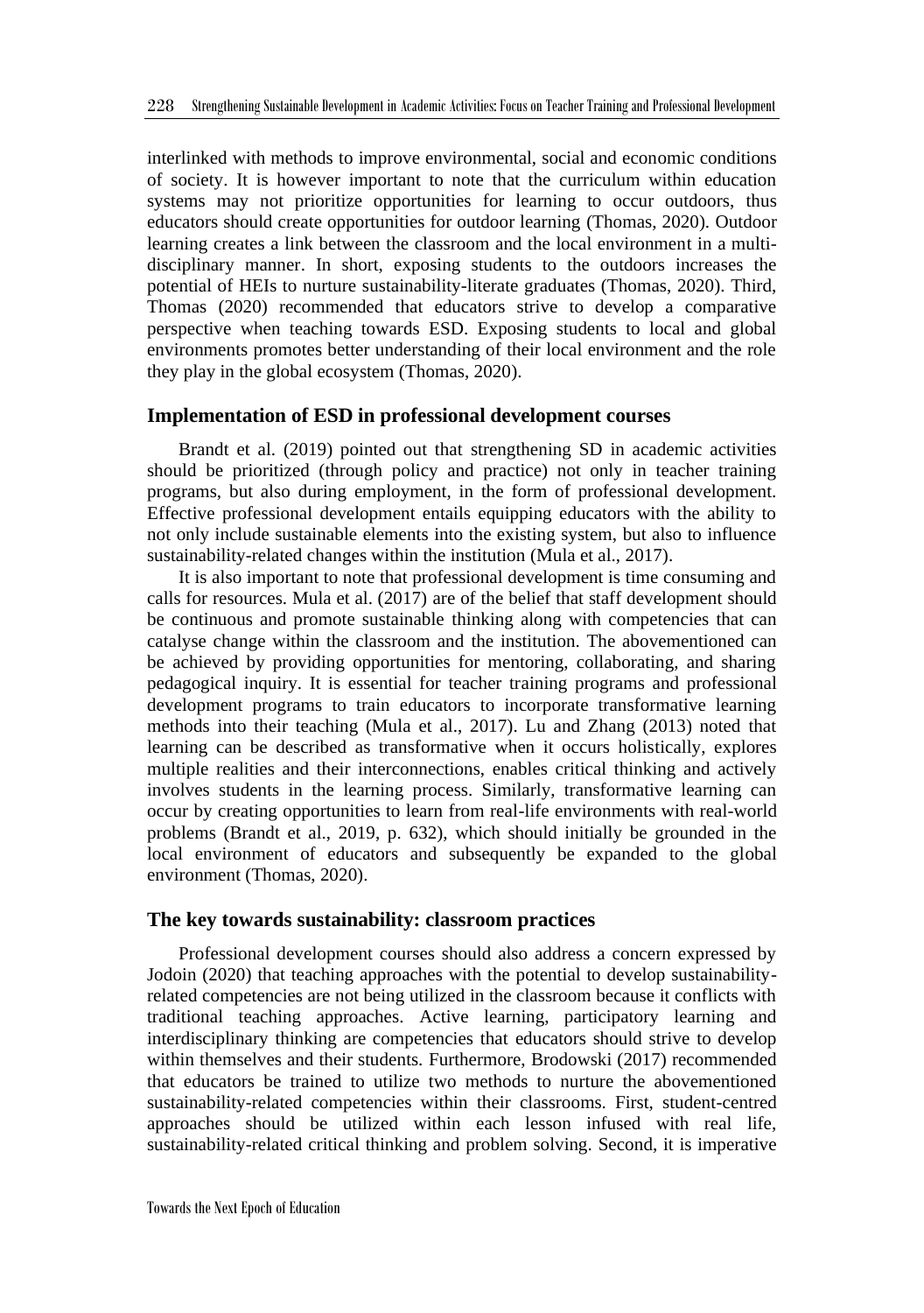interlinked with methods to improve environmental, social and economic conditions of society. It is however important to note that the curriculum within education systems may not prioritize opportunities for learning to occur outdoors, thus educators should create opportunities for outdoor learning (Thomas, 2020). Outdoor learning creates a link between the classroom and the local environment in a multidisciplinary manner. In short, exposing students to the outdoors increases the potential of HEIs to nurture sustainability-literate graduates (Thomas, 2020). Third, Thomas (2020) recommended that educators strive to develop a comparative perspective when teaching towards ESD. Exposing students to local and global environments promotes better understanding of their local environment and the role they play in the global ecosystem (Thomas, 2020).

#### **Implementation of ESD in professional development courses**

Brandt et al. (2019) pointed out that strengthening SD in academic activities should be prioritized (through policy and practice) not only in teacher training programs, but also during employment, in the form of professional development. Effective professional development entails equipping educators with the ability to not only include sustainable elements into the existing system, but also to influence sustainability-related changes within the institution (Mula et al., 2017).

It is also important to note that professional development is time consuming and calls for resources. Mula et al. (2017) are of the belief that staff development should be continuous and promote sustainable thinking along with competencies that can catalyse change within the classroom and the institution. The abovementioned can be achieved by providing opportunities for mentoring, collaborating, and sharing pedagogical inquiry. It is essential for teacher training programs and professional development programs to train educators to incorporate transformative learning methods into their teaching (Mula et al., 2017). Lu and Zhang (2013) noted that learning can be described as transformative when it occurs holistically, explores multiple realities and their interconnections, enables critical thinking and actively involves students in the learning process. Similarly, transformative learning can occur by creating opportunities to learn from real-life environments with real-world problems (Brandt et al., 2019, p. 632), which should initially be grounded in the local environment of educators and subsequently be expanded to the global environment (Thomas, 2020).

#### **The key towards sustainability: classroom practices**

Professional development courses should also address a concern expressed by Jodoin (2020) that teaching approaches with the potential to develop sustainabilityrelated competencies are not being utilized in the classroom because it conflicts with traditional teaching approaches. Active learning, participatory learning and interdisciplinary thinking are competencies that educators should strive to develop within themselves and their students. Furthermore, Brodowski (2017) recommended that educators be trained to utilize two methods to nurture the abovementioned sustainability-related competencies within their classrooms. First, student-centred approaches should be utilized within each lesson infused with real life, sustainability-related critical thinking and problem solving. Second, it is imperative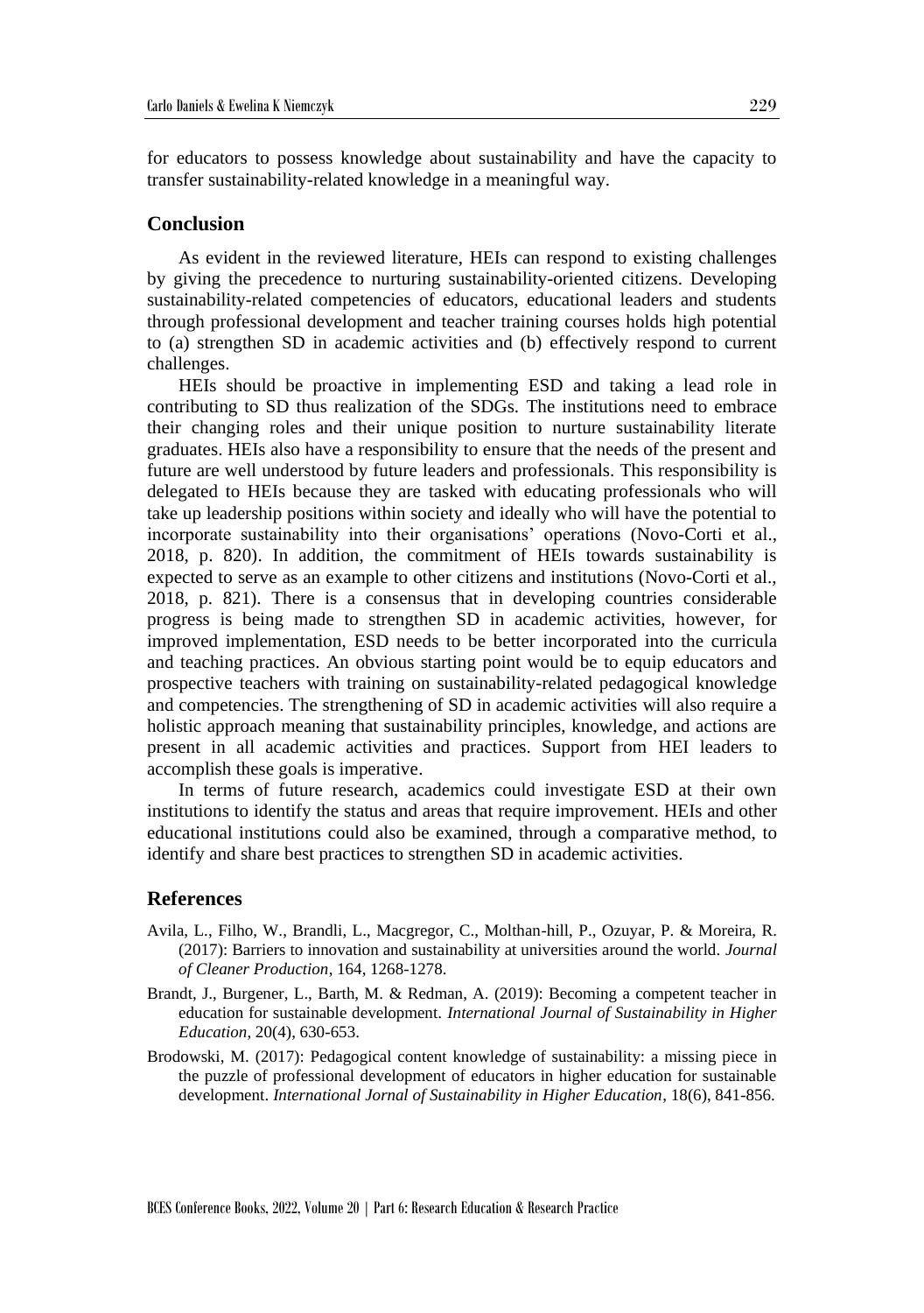for educators to possess knowledge about sustainability and have the capacity to transfer sustainability-related knowledge in a meaningful way.

#### **Conclusion**

As evident in the reviewed literature, HEIs can respond to existing challenges by giving the precedence to nurturing sustainability-oriented citizens. Developing sustainability-related competencies of educators, educational leaders and students through professional development and teacher training courses holds high potential to (a) strengthen SD in academic activities and (b) effectively respond to current challenges.

HEIs should be proactive in implementing ESD and taking a lead role in contributing to SD thus realization of the SDGs. The institutions need to embrace their changing roles and their unique position to nurture sustainability literate graduates. HEIs also have a responsibility to ensure that the needs of the present and future are well understood by future leaders and professionals. This responsibility is delegated to HEIs because they are tasked with educating professionals who will take up leadership positions within society and ideally who will have the potential to incorporate sustainability into their organisations' operations (Novo-Corti et al., 2018, p. 820). In addition, the commitment of HEIs towards sustainability is expected to serve as an example to other citizens and institutions (Novo-Corti et al., 2018, p. 821). There is a consensus that in developing countries considerable progress is being made to strengthen SD in academic activities, however, for improved implementation, ESD needs to be better incorporated into the curricula and teaching practices. An obvious starting point would be to equip educators and prospective teachers with training on sustainability-related pedagogical knowledge and competencies. The strengthening of SD in academic activities will also require a holistic approach meaning that sustainability principles, knowledge, and actions are present in all academic activities and practices. Support from HEI leaders to accomplish these goals is imperative.

In terms of future research, academics could investigate ESD at their own institutions to identify the status and areas that require improvement. HEIs and other educational institutions could also be examined, through a comparative method, to identify and share best practices to strengthen SD in academic activities.

#### **References**

- Avila, L., Filho, W., Brandli, L., Macgregor, C., Molthan-hill, P., Ozuyar, P. & Moreira, R. (2017): Barriers to innovation and sustainability at universities around the world. *Journal of Cleaner Production*, 164, 1268-1278.
- Brandt, J., Burgener, L., Barth, M. & Redman, A. (2019): Becoming a competent teacher in education for sustainable development. *International Journal of Sustainability in Higher Education*, 20(4), 630-653.
- Brodowski, M. (2017): Pedagogical content knowledge of sustainability: a missing piece in the puzzle of professional development of educators in higher education for sustainable development. *International Jornal of Sustainability in Higher Education*, 18(6), 841-856.